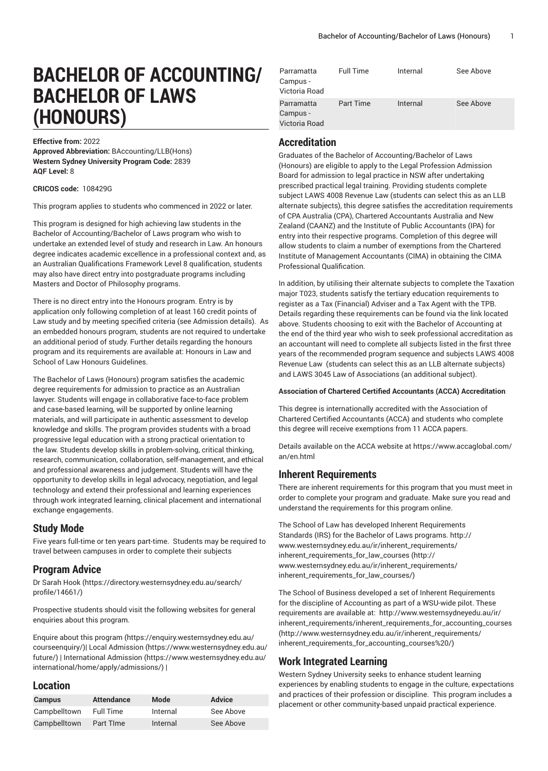# **BACHELOR OF ACCOUNTING/ BACHELOR OF LAWS (HONOURS)**

**Effective from:** 2022

**Approved Abbreviation:** BAccounting/LLB(Hons) **Western Sydney University Program Code:** 2839 **AQF Level:** 8

**CRICOS code:** 108429G

This program applies to students who commenced in 2022 or later.

This program is designed for high achieving law students in the Bachelor of Accounting/Bachelor of Laws program who wish to undertake an extended level of study and research in Law. An honours degree indicates academic excellence in a professional context and, as an Australian Qualifications Framework Level 8 qualification, students may also have direct entry into postgraduate programs including Masters and Doctor of Philosophy programs.

There is no direct entry into the Honours program. Entry is by application only following completion of at least 160 credit points of Law study and by meeting specified criteria (see Admission details). As an embedded honours program, students are not required to undertake an additional period of study. Further details regarding the honours program and its requirements are available at: Honours in Law and School of Law Honours Guidelines.

The Bachelor of Laws (Honours) program satisfies the academic degree requirements for admission to practice as an Australian lawyer. Students will engage in collaborative face-to-face problem and case-based learning, will be supported by online learning materials, and will participate in authentic assessment to develop knowledge and skills. The program provides students with a broad progressive legal education with a strong practical orientation to the law. Students develop skills in problem-solving, critical thinking, research, communication, collaboration, self-management, and ethical and professional awareness and judgement. Students will have the opportunity to develop skills in legal advocacy, negotiation, and legal technology and extend their professional and learning experiences through work integrated learning, clinical placement and international exchange engagements.

#### **Study Mode**

Five years full-time or ten years part-time. Students may be required to travel between campuses in order to complete their subjects

### **Program Advice**

[Dr Sarah Hook](https://directory.westernsydney.edu.au/search/profile/14661/) ([https://directory.westernsydney.edu.au/search/](https://directory.westernsydney.edu.au/search/profile/14661/) [profile/14661/\)](https://directory.westernsydney.edu.au/search/profile/14661/)

Prospective students should visit the following websites for general enquiries about this program.

Enquire about this [program \(https://enquiry.westernsydney.edu.au/](https://enquiry.westernsydney.edu.au/courseenquiry/) [courseenquiry/](https://enquiry.westernsydney.edu.au/courseenquiry/))| [Local Admission \(https://www.westernsydney.edu.au/](https://www.westernsydney.edu.au/future/) [future/\)](https://www.westernsydney.edu.au/future/) | [International Admission](https://www.westernsydney.edu.au/international/home/apply/admissions/) ([https://www.westernsydney.edu.au/](https://www.westernsydney.edu.au/international/home/apply/admissions/) [international/home/apply/admissions/](https://www.westernsydney.edu.au/international/home/apply/admissions/)) |

#### **Location**

| <b>Campus</b> | <b>Attendance</b> | Mode     | <b>Advice</b> |
|---------------|-------------------|----------|---------------|
| Campbelltown  | Full Time         | Internal | See Above     |
| Campbelltown  | Part Time         | Internal | See Above     |

| Parramatta<br>Campus -<br>Victoria Road | <b>Full Time</b> | Internal | See Above |
|-----------------------------------------|------------------|----------|-----------|
| Parramatta<br>Campus -<br>Victoria Road | <b>Part Time</b> | Internal | See Above |

#### **Accreditation**

Graduates of the Bachelor of Accounting/Bachelor of Laws (Honours) are eligible to apply to the Legal Profession Admission Board for admission to legal practice in NSW after undertaking prescribed practical legal training. Providing students complete subject LAWS 4008 Revenue Law (students can select this as an LLB alternate subjects), this degree satisfies the accreditation requirements of CPA Australia (CPA), Chartered Accountants Australia and New Zealand (CAANZ) and the Institute of Public Accountants (IPA) for entry into their respective programs. Completion of this degree will allow students to claim a number of exemptions from the Chartered Institute of Management Accountants (CIMA) in obtaining the CIMA Professional Qualification.

In addition, by utilising their alternate subjects to complete the Taxation major T023, students satisfy the tertiary education requirements to register as a Tax (Financial) Adviser and a Tax Agent with the TPB. Details regarding these requirements can be found via the link located above. Students choosing to exit with the Bachelor of Accounting at the end of the third year who wish to seek professional accreditation as an accountant will need to complete all subjects listed in the first three years of the recommended program sequence and subjects LAWS 4008 Revenue Law (students can select this as an LLB alternate subjects) and LAWS 3045 Law of Associations (an additional subject).

#### **Association of Chartered Certified Accountants (ACCA) Accreditation**

This degree is internationally accredited with the Association of Chartered Certified Accountants (ACCA) and students who complete this degree will receive exemptions from 11 ACCA papers.

Details available on the ACCA website at [https://www.accaglobal.com/](https://www.accaglobal.com/an/en.html) [an/en.html](https://www.accaglobal.com/an/en.html)

#### **Inherent Requirements**

There are inherent requirements for this program that you must meet in order to complete your program and graduate. Make sure you read and understand the requirements for this program online.

The School of Law has developed Inherent Requirements Standards (IRS) for the Bachelor of Laws programs. [http://](http://www.westernsydney.edu.au/ir/inherent_requirements/inherent_requirements_for_law_courses/) [www.westernsydney.edu.au/ir/inherent\\_requirements/](http://www.westernsydney.edu.au/ir/inherent_requirements/inherent_requirements_for_law_courses/) [inherent\\_requirements\\_for\\_law\\_courses](http://www.westernsydney.edu.au/ir/inherent_requirements/inherent_requirements_for_law_courses/) ([http://](http://www.westernsydney.edu.au/ir/inherent_requirements/inherent_requirements_for_law_courses/) [www.westernsydney.edu.au/ir/inherent\\_requirements/](http://www.westernsydney.edu.au/ir/inherent_requirements/inherent_requirements_for_law_courses/) [inherent\\_requirements\\_for\\_law\\_courses/](http://www.westernsydney.edu.au/ir/inherent_requirements/inherent_requirements_for_law_courses/))

The School of Business developed a set of Inherent Requirements for the discipline of Accounting as part of a WSU-wide pilot. These requirements are available at: [http://www.westernsydneyedu.au/ir/](http://www.westernsydney.edu.au/ir/inherent_requirements/inherent_requirements_for_accounting_courses%20/) [inherent\\_requirements/inherent\\_requirements\\_for\\_accounting\\_courses](http://www.westernsydney.edu.au/ir/inherent_requirements/inherent_requirements_for_accounting_courses%20/) ([http://www.westernsydney.edu.au/ir/inherent\\_requirements/](http://www.westernsydney.edu.au/ir/inherent_requirements/inherent_requirements_for_accounting_courses%20/) [inherent\\_requirements\\_for\\_accounting\\_courses%20/](http://www.westernsydney.edu.au/ir/inherent_requirements/inherent_requirements_for_accounting_courses%20/))

### **Work Integrated Learning**

Western Sydney University seeks to enhance student learning experiences by enabling students to engage in the culture, expectations and practices of their profession or discipline. This program includes a placement or other community-based unpaid practical experience.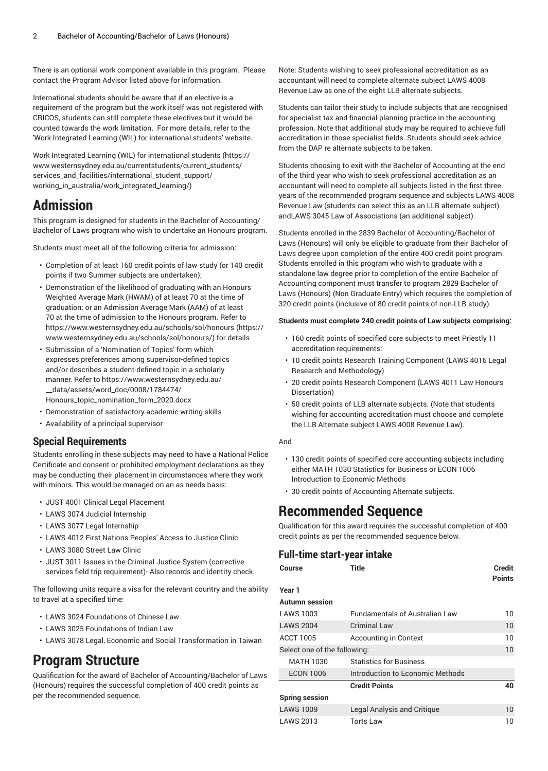There is an optional work component available in this program. Please contact the Program Advisor listed above for information.

International students should be aware that if an elective is a requirement of the program but the work itself was not registered with CRICOS, students can still complete these electives but it would be counted towards the work limitation. For more details, refer to the 'Work Integrated Learning (WIL) for international students' website.

Work Integrated Learning (WIL) for [international](https://www.westernsydney.edu.au/currentstudents/current_students/services_and_facilities/international_student_support/working_in_australia/work_integrated_learning/) students [\(https://](https://www.westernsydney.edu.au/currentstudents/current_students/services_and_facilities/international_student_support/working_in_australia/work_integrated_learning/) [www.westernsydney.edu.au/currentstudents/current\\_students/](https://www.westernsydney.edu.au/currentstudents/current_students/services_and_facilities/international_student_support/working_in_australia/work_integrated_learning/) [services\\_and\\_facilities/international\\_student\\_support/](https://www.westernsydney.edu.au/currentstudents/current_students/services_and_facilities/international_student_support/working_in_australia/work_integrated_learning/) [working\\_in\\_australia/work\\_integrated\\_learning/\)](https://www.westernsydney.edu.au/currentstudents/current_students/services_and_facilities/international_student_support/working_in_australia/work_integrated_learning/)

## **Admission**

This program is designed for students in the Bachelor of Accounting/ Bachelor of Laws program who wish to undertake an Honours program.

Students must meet all of the following criteria for admission:

- Completion of at least 160 credit points of law study (or 140 credit points if two Summer subjects are undertaken);
- Demonstration of the likelihood of graduating with an Honours Weighted Average Mark (HWAM) of at least 70 at the time of graduation; or an Admission Average Mark (AAM) of at least 70 at the time of admission to the Honours program. Refer to [https://www.westernsydney.edu.au/schools/sol/honours \(https://](https://www.westernsydney.edu.au/schools/sol/honours/) [www.westernsydney.edu.au/schools/sol/honours/\)](https://www.westernsydney.edu.au/schools/sol/honours/) for details
- Submission of a 'Nomination of Topics' form which expresses preferences among supervisor-defined topics and/or describes a student-defined topic in a scholarly manner. Refer to [https://www.westernsydney.edu.au/](https://www.westernsydney.edu.au/__data/assets/word_doc/0008/1784474/Honours_topic_nomination_form_2020.docx) [\\_\\_data/assets/word\\_doc/0008/1784474/](https://www.westernsydney.edu.au/__data/assets/word_doc/0008/1784474/Honours_topic_nomination_form_2020.docx) [Honours\\_topic\\_nomination\\_form\\_2020.docx](https://www.westernsydney.edu.au/__data/assets/word_doc/0008/1784474/Honours_topic_nomination_form_2020.docx)
- Demonstration of satisfactory academic writing skills
- Availability of a principal supervisor

### **Special Requirements**

Students enrolling in these subjects may need to have a National Police Certificate and consent or prohibited employment declarations as they may be conducting their placement in circumstances where they work with minors. This would be managed on an as needs basis:

- [JUST 4001](/search/?P=JUST%204001) Clinical Legal Placement
- [LAWS](/search/?P=LAWS%203074) 3074 Judicial Internship
- [LAWS](/search/?P=LAWS%203077) 3077 Legal Internship
- [LAWS](/search/?P=LAWS%204012) 4012 First Nations Peoples' Access to Justice Clinic
- [LAWS](/search/?P=LAWS%203080) 3080 Street Law Clinic
- [JUST 3011](/search/?P=JUST%203011) Issues in the Criminal Justice System (corrective services field trip requirement)- Also records and identity check.

The following units require a visa for the relevant country and the ability to travel at a specified time:

- [LAWS](/search/?P=LAWS%203024) 3024 Foundations of Chinese Law
- [LAWS](/search/?P=LAWS%203025) 3025 Foundations of Indian Law
- [LAWS](/search/?P=LAWS%203078) 3078 Legal, Economic and Social Transformation in Taiwan

## **Program Structure**

Qualification for the award of Bachelor of Accounting/Bachelor of Laws (Honours) requires the successful completion of 400 credit points as per the recommended sequence.

Note: Students wishing to seek professional accreditation as an accountant will need to complete alternate subject LAWS 4008 Revenue Law as one of the eight LLB alternate subjects.

Students can tailor their study to include subjects that are recognised for specialist tax and financial planning practice in the accounting profession. Note that additional study may be required to achieve full accreditation in those specialist fields. Students should seek advice from the DAP re alternate subjects to be taken.

Students choosing to exit with the Bachelor of Accounting at the end of the third year who wish to seek professional accreditation as an accountant will need to complete all subjects listed in the first three years of the recommended program sequence and subjects LAWS 4008 Revenue Law (students can select this as an LLB alternate subject) andLAWS 3045 Law of Associations (an additional subject).

Students enrolled in the 2839 Bachelor of Accounting/Bachelor of Laws (Honours) will only be eligible to graduate from their Bachelor of Laws degree upon completion of the entire 400 credit point program. Students enrolled in this program who wish to graduate with a standalone law degree prior to completion of the entire Bachelor of Accounting component must transfer to program 2829 Bachelor of Laws (Honours) (Non Graduate Entry) which requires the completion of 320 credit points (inclusive of 80 credit points of non-LLB study).

#### **Students must complete 240 credit points of Law subjects comprising:**

- 160 credit points of specified core subjects to meet Priestly 11 accreditation requirements:
- 10 credit points Research Training Component (LAWS 4016 Legal Research and Methodology)
- 20 credit points Research Component (LAWS 4011 Law Honours Dissertation)
- 50 credit points of LLB alternate subjects. (Note that students wishing for accounting accreditation must choose and complete the LLB Alternate subject LAWS 4008 Revenue Law).

#### And

- 130 credit points of specified core accounting subjects including either MATH 1030 Statistics for Business or ECON 1006 Introduction to Economic Methods
- 30 credit points of Accounting Alternate subjects.

### **Recommended Sequence**

Qualification for this award requires the successful completion of 400 credit points as per the recommended sequence below.

## **Full-time start-year intake**

| Course                       | Title                                 | Credit<br><b>Points</b> |
|------------------------------|---------------------------------------|-------------------------|
| Year 1                       |                                       |                         |
| Autumn session               |                                       |                         |
| LAWS 1003                    | <b>Fundamentals of Australian Law</b> | 10                      |
| <b>LAWS 2004</b>             | <b>Criminal Law</b>                   | 10                      |
| ACCT 1005                    | <b>Accounting in Context</b>          | 10                      |
| Select one of the following: |                                       | 10                      |
| MATH 1030                    | <b>Statistics for Business</b>        |                         |
| <b>ECON 1006</b>             | Introduction to Economic Methods      |                         |
|                              | <b>Credit Points</b>                  | 40                      |
| Spring session               |                                       |                         |
| <b>LAWS 1009</b>             | Legal Analysis and Critique           | 10 <sup>°</sup>         |
| LAWS 2013                    | <b>Torts Law</b>                      | 10                      |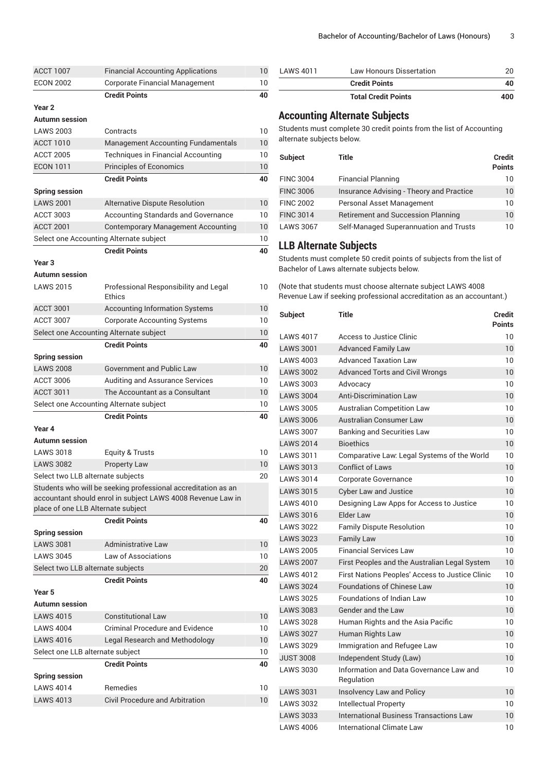| <b>ACCT 1007</b>                        | <b>Financial Accounting Applications</b>                      | 10              |
|-----------------------------------------|---------------------------------------------------------------|-----------------|
| <b>ECON 2002</b>                        | Corporate Financial Management                                | 10              |
|                                         | <b>Credit Points</b>                                          | 40              |
| Year <sub>2</sub>                       |                                                               |                 |
| Autumn session                          |                                                               |                 |
| <b>LAWS 2003</b>                        | Contracts                                                     | 10              |
| <b>ACCT 1010</b>                        | <b>Management Accounting Fundamentals</b>                     | 10              |
| <b>ACCT 2005</b>                        | Techniques in Financial Accounting                            | 10              |
| <b>ECON 1011</b>                        | <b>Principles of Economics</b>                                | 10              |
|                                         | <b>Credit Points</b>                                          | 40              |
| <b>Spring session</b>                   |                                                               |                 |
| <b>LAWS 2001</b>                        | Alternative Dispute Resolution                                | 10              |
| <b>ACCT 3003</b>                        | <b>Accounting Standards and Governance</b>                    | 10              |
| <b>ACCT 2001</b>                        | <b>Contemporary Management Accounting</b>                     | 10              |
| Select one Accounting Alternate subject |                                                               | 10              |
|                                         | <b>Credit Points</b>                                          | 40              |
| Year <sub>3</sub>                       |                                                               |                 |
| <b>Autumn</b> session                   |                                                               |                 |
| <b>LAWS 2015</b>                        | Professional Responsibility and Legal<br>Ethics               | 10              |
| <b>ACCT 3001</b>                        | <b>Accounting Information Systems</b>                         | 10              |
| <b>ACCT 3007</b>                        | <b>Corporate Accounting Systems</b>                           | 10              |
| Select one Accounting Alternate subject |                                                               | 10              |
|                                         | <b>Credit Points</b>                                          | 40              |
| <b>Spring session</b>                   |                                                               |                 |
| <b>LAWS 2008</b>                        | <b>Government and Public Law</b>                              | 10              |
| <b>ACCT 3006</b>                        | Auditing and Assurance Services                               | 10              |
| <b>ACCT 3011</b>                        | The Accountant as a Consultant                                | 10              |
| Select one Accounting Alternate subject |                                                               | 10              |
|                                         | <b>Credit Points</b>                                          | 40              |
| Year 4                                  |                                                               |                 |
| <b>Autumn</b> session                   |                                                               |                 |
| <b>LAWS 3018</b>                        | Equity & Trusts                                               | 10              |
| <b>LAWS 3082</b>                        | <b>Property Law</b>                                           | 10 <sup>°</sup> |
| Select two LLB alternate subjects       |                                                               | 20              |
|                                         | Students who will be seeking professional accreditation as an |                 |
|                                         | accountant should enrol in subject LAWS 4008 Revenue Law in   |                 |
| place of one LLB Alternate subject      |                                                               |                 |
|                                         | <b>Credit Points</b>                                          | 40              |
| <b>Spring session</b>                   |                                                               |                 |
| <b>LAWS 3081</b>                        | <b>Administrative Law</b>                                     | 10              |
| <b>LAWS 3045</b>                        | Law of Associations                                           | 10              |
| Select two LLB alternate subjects       |                                                               | 20              |
|                                         | <b>Credit Points</b>                                          | 40              |
| Year 5                                  |                                                               |                 |
| Autumn session                          |                                                               |                 |
| <b>LAWS 4015</b>                        | <b>Constitutional Law</b>                                     | 10              |
| <b>LAWS 4004</b>                        | Criminal Procedure and Evidence                               | 10              |
| <b>LAWS 4016</b>                        | <b>Legal Research and Methodology</b>                         | 10              |
| Select one LLB alternate subject        |                                                               | 10              |
|                                         | <b>Credit Points</b>                                          | 40              |
| <b>Spring session</b>                   |                                                               |                 |
| <b>LAWS 4014</b>                        | Remedies                                                      | 10              |
| <b>LAWS 4013</b>                        | <b>Civil Procedure and Arbitration</b>                        | 10              |
|                                         |                                                               |                 |

| LAWS 4011 | Law Honours Dissertation   |     |
|-----------|----------------------------|-----|
|           | <b>Credit Points</b>       | 40  |
|           | <b>Total Credit Points</b> | 400 |

### **Accounting Alternate Subjects**

Students must complete 30 credit points from the list of Accounting alternate subjects below.

| <b>Subject</b>   | Title                                     | <b>Credit</b><br><b>Points</b> |
|------------------|-------------------------------------------|--------------------------------|
| <b>FINC 3004</b> | <b>Financial Planning</b>                 | 10                             |
| <b>FINC 3006</b> | Insurance Advising - Theory and Practice  | $10^{\circ}$                   |
| <b>FINC 2002</b> | Personal Asset Management                 | 10                             |
| <b>FINC 3014</b> | <b>Retirement and Succession Planning</b> | 10                             |
| <b>LAWS 3067</b> | Self-Managed Superannuation and Trusts    | 10                             |

### **LLB Alternate Subjects**

Students must complete 50 credit points of subjects from the list of Bachelor of Laws alternate subjects below.

(Note that students must choose alternate subject LAWS 4008 Revenue Law if seeking professional accreditation as an accountant.)

| <b>Subject</b>   | Title                                                 | <b>Credit</b><br><b>Points</b> |
|------------------|-------------------------------------------------------|--------------------------------|
| <b>LAWS 4017</b> | Access to Justice Clinic                              | 10                             |
| <b>LAWS 3001</b> | <b>Advanced Family Law</b>                            | 10                             |
| <b>LAWS 4003</b> | <b>Advanced Taxation Law</b>                          | 10                             |
| <b>LAWS 3002</b> | <b>Advanced Torts and Civil Wrongs</b>                | 10                             |
| <b>LAWS 3003</b> | Advocacy                                              | 10                             |
| <b>LAWS 3004</b> | <b>Anti-Discrimination Law</b>                        | 10                             |
| <b>LAWS 3005</b> | <b>Australian Competition Law</b>                     | 10                             |
| <b>LAWS 3006</b> | Australian Consumer Law                               | 10                             |
| <b>LAWS 3007</b> | <b>Banking and Securities Law</b>                     | 10                             |
| <b>LAWS 2014</b> | <b>Bioethics</b>                                      | 10                             |
| <b>LAWS 3011</b> | Comparative Law: Legal Systems of the World           | 10                             |
| <b>LAWS 3013</b> | <b>Conflict of Laws</b>                               | 10                             |
| <b>LAWS 3014</b> | <b>Corporate Governance</b>                           | 10                             |
| <b>LAWS 3015</b> | <b>Cyber Law and Justice</b>                          | 10                             |
| <b>LAWS 4010</b> | Designing Law Apps for Access to Justice              | 10                             |
| <b>LAWS 3016</b> | Elder Law                                             | 10                             |
| <b>LAWS 3022</b> | <b>Family Dispute Resolution</b>                      | 10                             |
| <b>LAWS 3023</b> | <b>Family Law</b>                                     | 10                             |
| <b>LAWS 2005</b> | <b>Financial Services Law</b>                         | 10                             |
| <b>LAWS 2007</b> | First Peoples and the Australian Legal System         | 10                             |
| <b>LAWS 4012</b> | First Nations Peoples' Access to Justice Clinic       | 10                             |
| <b>LAWS 3024</b> | <b>Foundations of Chinese Law</b>                     | 10                             |
| <b>LAWS 3025</b> | <b>Foundations of Indian Law</b>                      | 10                             |
| <b>LAWS 3083</b> | <b>Gender and the Law</b>                             | 10                             |
| <b>LAWS 3028</b> | Human Rights and the Asia Pacific                     | 10                             |
| <b>LAWS 3027</b> | Human Rights Law                                      | 10                             |
| <b>LAWS 3029</b> | Immigration and Refugee Law                           | 10                             |
| <b>JUST 3008</b> | Independent Study (Law)                               | 10                             |
| <b>LAWS 3030</b> | Information and Data Governance Law and<br>Regulation | 10                             |
| <b>LAWS 3031</b> | Insolvency Law and Policy                             | 10                             |
| <b>LAWS 3032</b> | Intellectual Property                                 | 10                             |
| <b>LAWS 3033</b> | International Business Transactions Law               | 10                             |
| <b>LAWS 4006</b> | International Climate Law                             | 10                             |